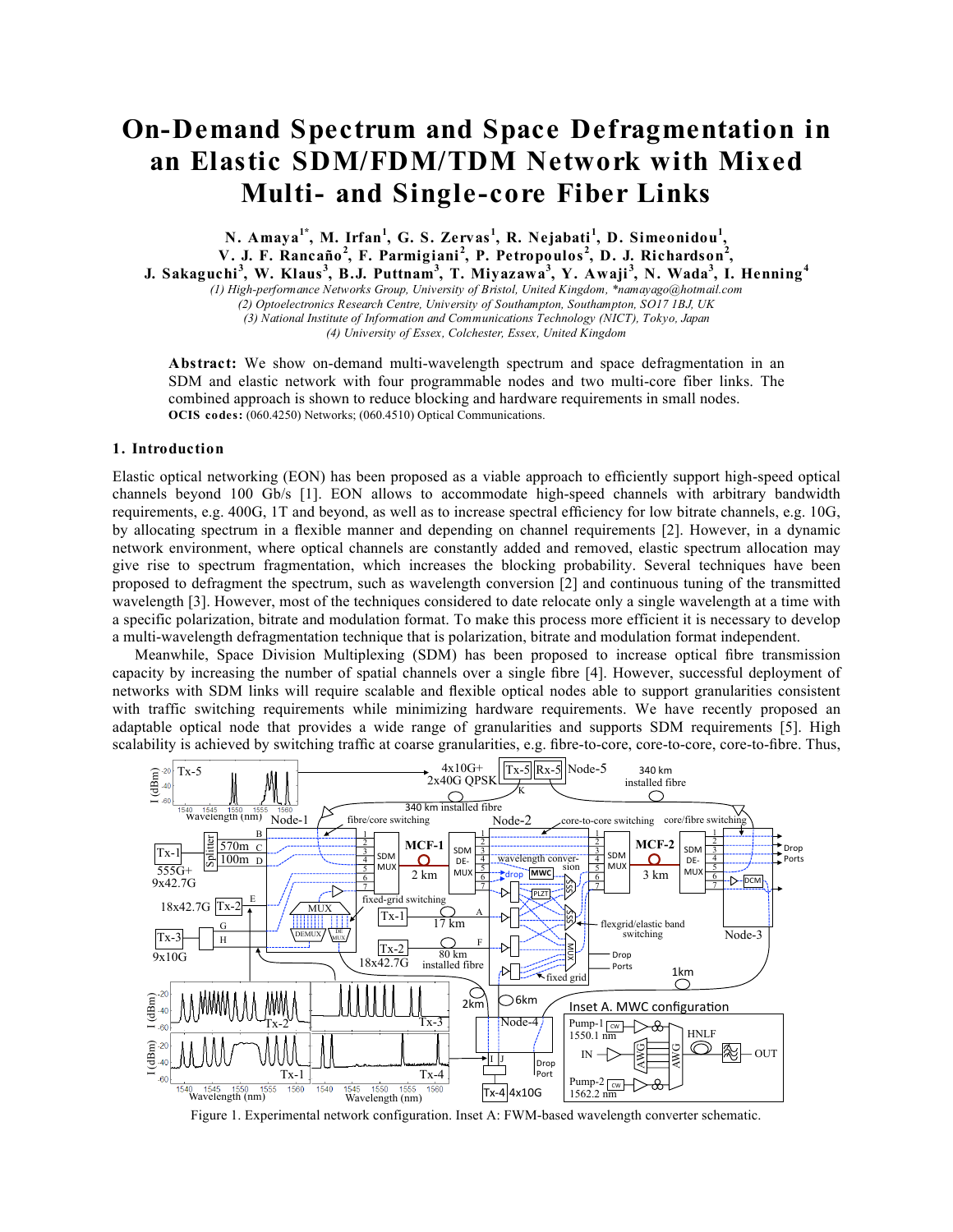# **On-Demand Spectrum and Space Defragmentation in an Elastic SDM/FDM/TDM Network with Mixed Multi- and Single-core Fiber Links**

**N. Amaya1\* , M. Irfan<sup>1</sup> , G. S. Zervas <sup>1</sup> , R. Nejabati <sup>1</sup> , D. Simeonidou<sup>1</sup> , V. J. F. Rancaño<sup>2</sup> , F. Parmigiani <sup>2</sup> , P. Petropoulos <sup>2</sup> , D. J. Richardson<sup>2</sup> , J.** Sakaguchi<sup>3</sup>, W. Klaus<sup>3</sup>, B.J. Puttnam<sup>3</sup>, T. Miyazawa<sup>3</sup>, Y. Awaji<sup>3</sup>, N. Wada<sup>3</sup>, I. Henning<sup>4</sup>

*(1) High-performance Networks Group, University of Bristol, United Kingdom, \*namayago@hotmail.com*

*(2) Optoelectronics Research Centre, University of Southampton, Southampton, SO17 1BJ, UK*

*(3) National Institute of Information and Communications Technology (NICT), Tokyo, Japan*

*(4) University of Essex, Colchester, Essex, United Kingdom*

**Abstract:** We show on-demand multi-wavelength spectrum and space defragmentation in an SDM and elastic network with four programmable nodes and two multi-core fiber links. The combined approach is shown to reduce blocking and hardware requirements in small nodes. **OCIS codes:** (060.4250) Networks; (060.4510) Optical Communications.

## **1. Introduction**

Elastic optical networking (EON) has been proposed as a viable approach to efficiently support high-speed optical channels beyond 100 Gb/s [1]. EON allows to accommodate high-speed channels with arbitrary bandwidth requirements, e.g. 400G, 1T and beyond, as well as to increase spectral efficiency for low bitrate channels, e.g. 10G, by allocating spectrum in a flexible manner and depending on channel requirements [2]. However, in a dynamic network environment, where optical channels are constantly added and removed, elastic spectrum allocation may give rise to spectrum fragmentation, which increases the blocking probability. Several techniques have been proposed to defragment the spectrum, such as wavelength conversion [2] and continuous tuning of the transmitted wavelength [3]. However, most of the techniques considered to date relocate only a single wavelength at a time with a specific polarization, bitrate and modulation format. To make this process more efficient it is necessary to develop a multi-wavelength defragmentation technique that is polarization, bitrate and modulation format independent.

Meanwhile, Space Division Multiplexing (SDM) has been proposed to increase optical fibre transmission capacity by increasing the number of spatial channels over a single fibre [4]. However, successful deployment of networks with SDM links will require scalable and flexible optical nodes able to support granularities consistent with traffic switching requirements while minimizing hardware requirements. We have recently proposed an adaptable optical node that provides a wide range of granularities and supports SDM requirements [5]. High scalability is achieved by switching traffic at coarse granularities, e.g. fibre-to-core, core-to-core, core-to-fibre. Thus,



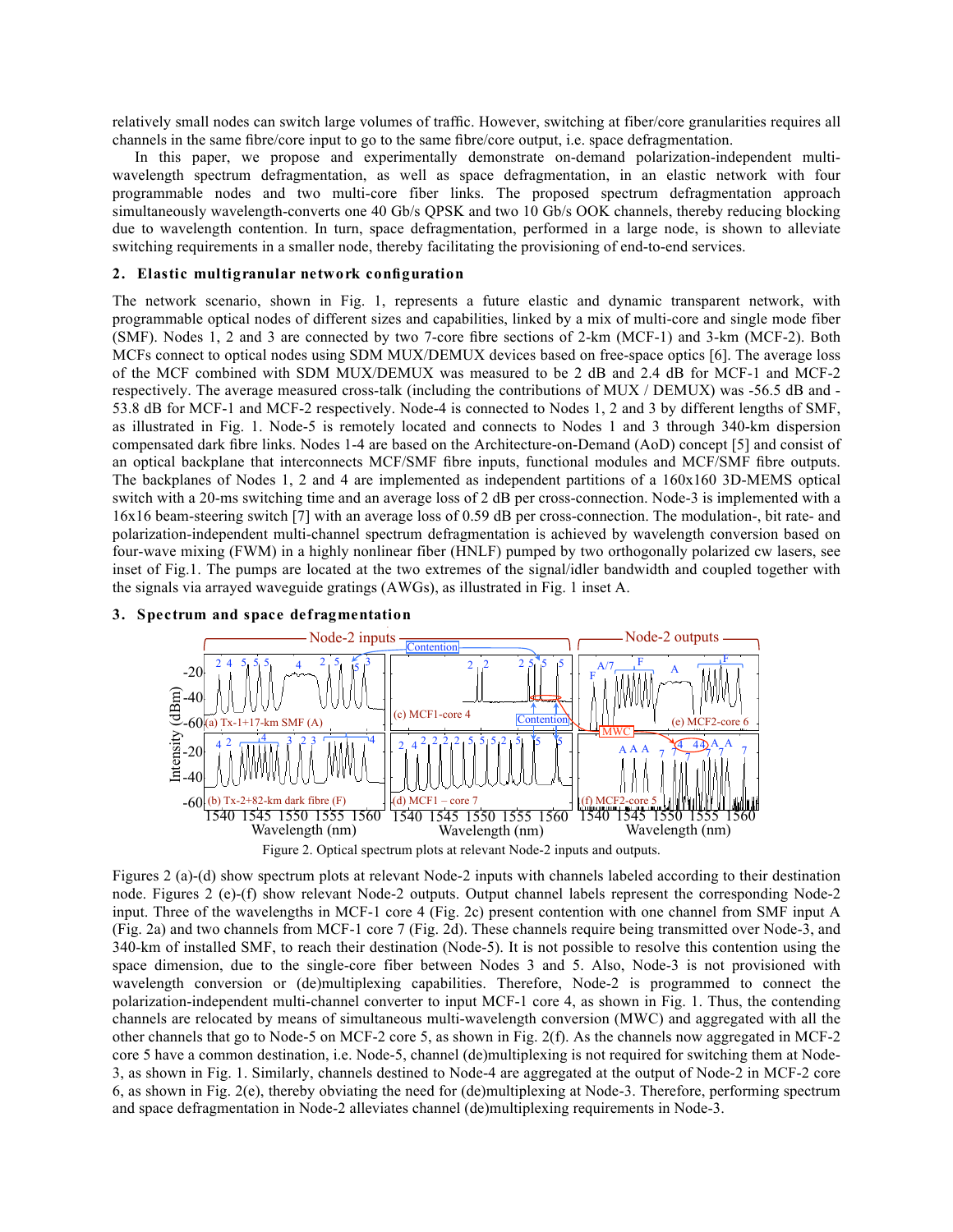relatively small nodes can switch large volumes of traffic. However, switching at fiber/core granularities requires all channels in the same fibre/core input to go to the same fibre/core output, i.e. space defragmentation.

In this paper, we propose and experimentally demonstrate on-demand polarization-independent multiwavelength spectrum defragmentation, as well as space defragmentation, in an elastic network with four programmable nodes and two multi-core fiber links. The proposed spectrum defragmentation approach simultaneously wavelength-converts one 40 Gb/s QPSK and two 10 Gb/s OOK channels, thereby reducing blocking due to wavelength contention. In turn, space defragmentation, performed in a large node, is shown to alleviate switching requirements in a smaller node, thereby facilitating the provisioning of end-to-end services.

#### **2. Elastic multigranular network configuration**

The network scenario, shown in Fig. 1, represents a future elastic and dynamic transparent network, with programmable optical nodes of different sizes and capabilities, linked by a mix of multi-core and single mode fiber (SMF). Nodes 1, 2 and 3 are connected by two 7-core fibre sections of 2-km (MCF-1) and 3-km (MCF-2). Both MCFs connect to optical nodes using SDM MUX/DEMUX devices based on free-space optics [6]. The average loss of the MCF combined with SDM MUX/DEMUX was measured to be 2 dB and 2.4 dB for MCF-1 and MCF-2 respectively. The average measured cross-talk (including the contributions of MUX / DEMUX) was -56.5 dB and - 53.8 dB for MCF-1 and MCF-2 respectively. Node-4 is connected to Nodes 1, 2 and 3 by different lengths of SMF, as illustrated in Fig. 1. Node-5 is remotely located and connects to Nodes 1 and 3 through 340-km dispersion compensated dark fibre links. Nodes 1-4 are based on the Architecture-on-Demand (AoD) concept [5] and consist of an optical backplane that interconnects MCF/SMF fibre inputs, functional modules and MCF/SMF fibre outputs. The backplanes of Nodes 1, 2 and 4 are implemented as independent partitions of a 160x160 3D-MEMS optical switch with a 20-ms switching time and an average loss of 2 dB per cross-connection. Node-3 is implemented with a 16x16 beam-steering switch [7] with an average loss of 0.59 dB per cross-connection. The modulation-, bit rate- and polarization-independent multi-channel spectrum defragmentation is achieved by wavelength conversion based on four-wave mixing (FWM) in a highly nonlinear fiber (HNLF) pumped by two orthogonally polarized cw lasers, see inset of Fig.1. The pumps are located at the two extremes of the signal/idler bandwidth and coupled together with the signals via arrayed waveguide gratings (AWGs), as illustrated in Fig. 1 inset A.





Figures 2 (a)-(d) show spectrum plots at relevant Node-2 inputs with channels labeled according to their destination node. Figures 2 (e)-(f) show relevant Node-2 outputs. Output channel labels represent the corresponding Node-2 input. Three of the wavelengths in MCF-1 core 4 (Fig. 2c) present contention with one channel from SMF input A (Fig. 2a) and two channels from MCF-1 core 7 (Fig. 2d). These channels require being transmitted over Node-3, and 340-km of installed SMF, to reach their destination (Node-5). It is not possible to resolve this contention using the space dimension, due to the single-core fiber between Nodes 3 and 5. Also, Node-3 is not provisioned with wavelength conversion or (de)multiplexing capabilities. Therefore, Node-2 is programmed to connect the polarization-independent multi-channel converter to input MCF-1 core 4, as shown in Fig. 1. Thus, the contending channels are relocated by means of simultaneous multi-wavelength conversion (MWC) and aggregated with all the other channels that go to Node-5 on MCF-2 core 5, as shown in Fig. 2(f). As the channels now aggregated in MCF-2 core 5 have a common destination, i.e. Node-5, channel (de)multiplexing is not required for switching them at Node-3, as shown in Fig. 1. Similarly, channels destined to Node-4 are aggregated at the output of Node-2 in MCF-2 core 6, as shown in Fig. 2(e), thereby obviating the need for (de)multiplexing at Node-3. Therefore, performing spectrum and space defragmentation in Node-2 alleviates channel (de)multiplexing requirements in Node-3.